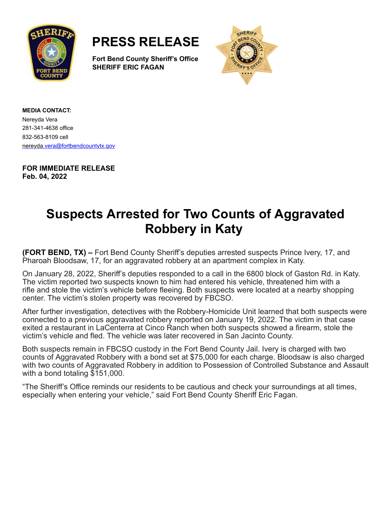



**Fort Bend County Sheriff's Office SHERIFF ERIC FAGAN**



**MEDIA CONTACT:** Nereyda Vera 281-341-4638 office 832-563-8109 cell [nereyda.vera@fortbendcountytx.gov](mailto:jacqueline.preston@fortbendcountytx.gov)

**FOR IMMEDIATE RELEASE Feb. 04, 2022**

## **Suspects Arrested for Two Counts of Aggravated Robbery in Katy**

**(FORT BEND, TX) –** Fort Bend County Sheriff's deputies arrested suspects Prince Ivery, 17, and Pharoah Bloodsaw, 17, for an aggravated robbery at an apartment complex in Katy.

On January 28, 2022, Sheriff's deputies responded to a call in the 6800 block of Gaston Rd. in Katy. The victim reported two suspects known to him had entered his vehicle, threatened him with a rifle and stole the victim's vehicle before fleeing. Both suspects were located at a nearby shopping center. The victim's stolen property was recovered by FBCSO.

After further investigation, detectives with the Robbery-Homicide Unit learned that both suspects were connected to a previous aggravated robbery reported on January 19, 2022. The victim in that case exited a restaurant in LaCenterra at Cinco Ranch when both suspects showed a firearm, stole the victim's vehicle and fled. The vehicle was later recovered in San Jacinto County.

Both suspects remain in FBCSO custody in the Fort Bend County Jail. Ivery is charged with two counts of Aggravated Robbery with a bond set at \$75,000 for each charge. Bloodsaw is also charged with two counts of Aggravated Robbery in addition to Possession of Controlled Substance and Assault with a bond totaling \$151,000.

"The Sheriff's Office reminds our residents to be cautious and check your surroundings at all times, especially when entering your vehicle," said Fort Bend County Sheriff Eric Fagan.